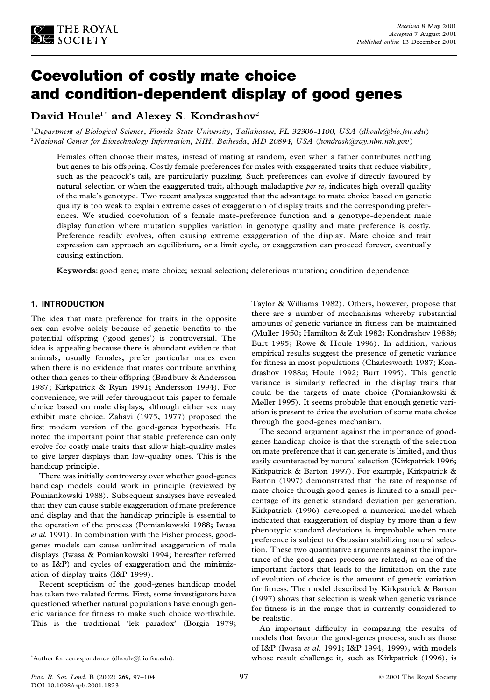

# Coevolution of costly mate choice and condition-dependent display of good genes

## **David Houle**<sup>1</sup>\* **and Alexey S. Kondrashov** 2

<sup>1</sup>*Department of Biological Science, Florida State University, Tallahassee, FL 32306-1100, USA* (*dhoule@bio.fsu.edu*) <sup>2</sup>*National Center for Biotechnology Information, NIH, Bethesda, MD 20894, USA* (*kondrash@ray.nlm.nih.gov*)

Females often choose their mates, instead of mating at random, even when a father contributes nothing but genes to his offspring. Costly female preferences for males with exaggerated traits that reduce viability, such as the peacock's tail, are particularly puzzling. Such preferences can evolve if directly favoured by natural selection or when the exaggerated trait, although maladaptive *per se*, indicates high overall quality of the male's genotype. Two recent analyses suggested that the advantage to mate choice based on genetic quality is too weak to explain extreme cases of exaggeration of display traits and the corresponding prefer ences. We studied coevolution of a female mate-preference function and a genotype-dependent male display function where mutation supplies variation in genotype quality and mate preference is costly. Preference readily evolves, often causing extreme exaggeration of the display. Mate choice and trait expression can approach an equilibrium, or a limit cycle, or exaggeration can proceed forever, eventually causing extinction.

**Keywords:** good gene; mate choice; sexual selection; deleterious mutation; condition dependence

### **1. INTRODUCTION**

The idea that mate preference for traits in the opposite sex can evolve solely because of genetic benefits to the potential offspring (`good genes') is controversial. The idea is appealing because there is abundant evidence that animals, usually females, prefer particular mates even when there is no evidence that mates contribute anything other than genes to their offspring (Bradbury & Andersson 1987; Kirkpatrick & Ryan 1991; Andersson 1994). For convenience, we will refer throughout this paper to female choice based on male displays, although either sex may exhibit mate choice. Zahavi (1975, 1977) proposed the first modern version of the good-genes hypothesis. He noted the important point that stable preference can only evolve for costly male traits that allow high-quality males to give larger displays than low-quality ones. This is the handicap principle.

There was initially controversy over whether good-genes handicap models could work in principle (reviewed by Pomiankowski 1988). Subsequent analyses have revealed that they can cause stable exaggeration of mate preference and display and that the handicap principle is essential to the operation of the process (Pomiankowski 1988; Iwasa *et al.* 1991). In combination with the Fisher process, good genes models can cause unlimited exaggeration of male displays (Iwasa & Pomiankowski 1994; hereafter referred to as I&P) and cycles of exaggeration and the minimiz ation of display traits (I&P 1999).

Recent scepticism of the good-genes handicap model has taken two related forms. First, some investigators have questioned whether natural populations have enough gen etic variance for fitness to make such choice worthwhile. This is the traditional 'lek paradox' (Borgia 1979;

\*Author for correspondence (dhoule@bio.fsu.edu).

Taylor & Williams 1982). Others, however, propose that there are a number of mechanisms whereby substantial amounts of genetic variance in fitness can be maintained (Muller 1950; Hamilton & Zuk 1982; Kondrashov 1988*b*; Burt 1995; Rowe & Houle 1996). In addition, various empirical results suggest the presence of genetic variance for fitness in most populations (Charlesworth 1987; Kondrashov 1988*a*; Houle 1992; Burt 1995). This genetic variance is similarly reflected in the display traits that could be the targets of mate choice (Pomiankowski & Møller 1995). It seems probable that enough genetic variation is present to drive the evolution of some mate choice through the good-genes mechanism.

The second argument against the importance of good genes handicap choice is that the strength of the selection on mate preference that it can generate is limited, and thus easily counteracted by natural selection (Kirkpatrick 1996; Kirkpatrick & Barton 1997). For example, Kirkpatrick & Barton (1997) demonstrated that the rate of response of mate choice through good genes is limited to a small per centage of its genetic standard deviation per generation. Kirkpatrick (1996) developed a numerical model which indicated that exaggeration of display by more than a few phenotypic standard deviations is improbable when mate preference is subject to Gaussian stabilizing natural selection. These two quantitative arguments against the importance of the good-genes process are related, as one of the important factors that leads to the limitation on the rate of evolution of choice is the amount of genetic variation for fitness. The model described by Kirkpatrick & Barton (1997) shows that selection is weak when genetic variance for fitness is in the range that is currently considered to be realistic.

An important difficulty in comparing the results of models that favour the good-genes process, such as those of I&P (Iwasa *et al.* 1991; I&P 1994, 1999), with models whose result challenge it, such as Kirkpatrick (1996), is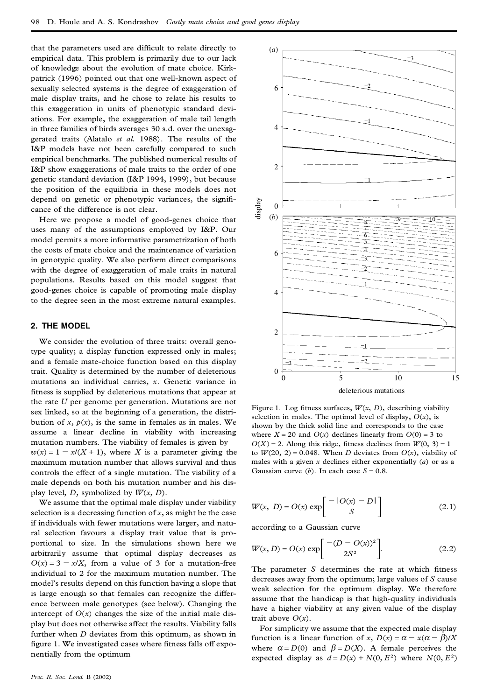that the parameters used are difficult to relate directly to empirical data. This problem is primarily due to our lack of knowledge about the evolution of mate choice. Kirk patrick (1996) pointed out that one well-known aspect of sexually selected systems is the degree of exaggeration of male display traits, and he chose to relate his results to this exaggeration in units of phenotypic standard devi ations. For example, the exaggeration of male tail length in three families of birds averages 30 s.d. over the unexag gerated traits (Alatalo *et al.* 1988). The results of the I&P models have not been carefully compared to such empirical benchmarks. The published numerical results of I&P show exaggerations of male traits to the order of one genetic standard deviation (I&P 1994, 1999), but because the position of the equilibria in these models does not depend on genetic or phenotypic variances, the significance of the difference is not clear.

Here we propose a model of good-genes choice that uses many of the assumptions employed by I&P. Our model permits a more informative parametrization of both the costs of mate choice and the maintenance of variation in genotypic quality. We also perform direct comparisons with the degree of exaggeration of male traits in natural populations. Results based on this model suggest that good-genes choice is capable of promoting male display to the degree seen in the most extreme natural examples.

#### **2. THE MODEL**

We consider the evolution of three traits: overall genotype quality; a display function expressed only in males; and a female mate-choice function based on this display trait. Quality is determined by the number of deleterious mutations an individual carries, *x*. Genetic variance in fitness is supplied by deleterious mutations that appear at the rate *U* per genome per generation. Mutations are not sex linked, so at the beginning of a generation, the distri bution of  $x$ ,  $p(x)$ , is the same in females as in males. We assume a linear decline in viability with increasing mutation numbers. The viability of females is given by  $w(x) = 1 - x/(X + 1)$ , where *X* is a parameter giving the maximum mutation number that allows survival and thus controls the effect of a single mutation. The viability of a male depends on both his mutation number and his dis play level, *D,* symbolized by *W*(*x*, *D*).

We assume that the optimal male display under viability selection is a decreasing function of *x*, as might be the case if individuals with fewer mutations were larger, and natural selection favours a display trait value that is pro portional to size. In the simulations shown here we arbitrarily assume that optimal display decreases as  $O(x) = 3 - x/X$ , from a value of 3 for a mutation-free individual to 2 for the maximum mutation number. The model's results depend on this function having a slope that is large enough so that females can recognize the differ ence between male genotypes (see below). Changing the intercept of  $O(x)$  changes the size of the initial male display but does not otherwise affect the results. Viability falls further when *D* deviates from this optimum, as shown in figure 1. We investigated cases where fitness falls off exponentially from the optimum



deleterious mutations

Figure 1. Log fitness surfaces,  $W(x, D)$ , describing viability selection in males. The optimal level of display,  $O(x)$ , is shown by the thick solid line and corresponds to the case where  $X = 20$  and  $O(x)$  declines linearly from  $O(0) = 3$  to  $O(X) = 2$ . Along this ridge, fitness declines from  $W(0, 3) = 1$ to  $W(20, 2) = 0.048$ . When *D* deviates from  $O(x)$ , viability of males with a given *x* declines either exponentially (*a*) or as a Gaussian curve (*b*). In each case  $S = 0.8$ .

$$
W(x, D) = O(x) \exp\left[\frac{-|O(x) - D|}{S}\right]
$$
 (2.1)

according to a Gaussian curve

$$
W(x, D) = O(x) \exp\left[\frac{-(D - O(x))^2}{2S^2}\right].
$$
 (2.2)

The parameter  $S$  determines the rate at which fitness decreases away from the optimum; large values of *S* cause weak selection for the optimum display. We therefore assume that the handicap is that high-quality individuals have a higher viability at any given value of the display trait above  $O(x)$ .

For simplicity we assume that the expected male display function is a linear function of *x*,  $D(x) = \alpha - x(\alpha - \beta)/X$ where  $\alpha = D(0)$  and  $\beta = D(X)$ . A female perceives the expected display as  $d = D(x) + N(0, E^2)$  where  $N(0, E^2)$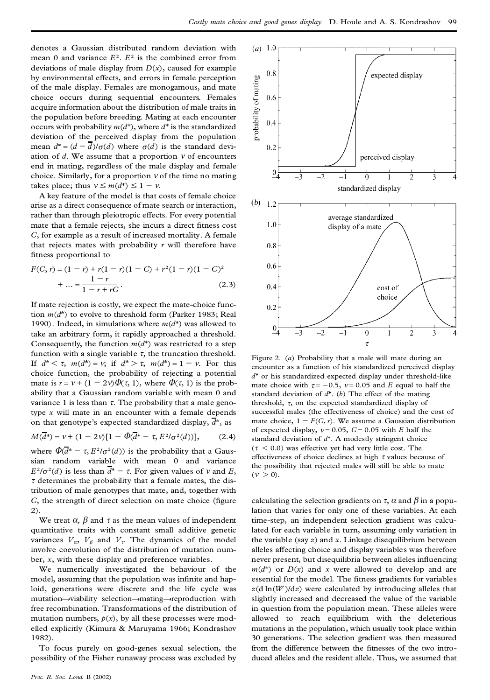denotes a Gaussian distributed random deviation with mean 0 and variance  $E^2$ .  $E^2$  is the combined error from deviations of male display from *D*(*x*), caused for example by environmental effects, and errors in female perception of the male display. Females are monogamous, and mate choice occurs during sequential encounters. Females acquire information about the distribution of male traits in the population before breeding. Mating at each encounter occurs with probability  $m(d^*)$ , where  $d^*$  is the standardized deviation of the perceived display from the population mean  $d^* = (d - d)/\sigma(d)$  where  $\sigma(d)$  is the standard deviation of  $d$ . We assume that a proportion  $\nu$  of encounters end in mating, regardless of the male display and female choice. Similarly, for a proportion  $v$  of the time no mating takes place; thus  $v \le m(d^*) \le 1 - v$ .

A key feature of the model is that costs of female choice arise as a direct consequence of mate search or interaction, rather than through pleiotropic effects. For every potential mate that a female rejects, she incurs a direct fitness cost *C*, for example as a result of increased mortality. A female that rejects mates with probability *r* will therefore have fitness proportional to

$$
F(C, r) = (1 - r) + r(1 - r)(1 - C) + r2(1 - r)(1 - C)2 + ... = \frac{1 - r}{1 - r + rC}.
$$
 (2.3)

If mate rejection is costly, we expect the mate-choice function  $m(d^*)$  to evolve to threshold form (Parker 1983; Real 1990). Indeed, in simulations where  $m(d^*)$  was allowed to take an arbitrary form, it rapidly approached a threshold. Consequently, the function  $m(d^*)$  was restricted to a step function with a single variable  $\tau$ , the truncation threshold. If  $d^* < \tau$ ,  $m(d^*) = v$ ; if  $d^* > \tau$ ,  $m(d^*) = 1 - v$ . For this choice function, the probability of rejecting a potential mate is  $r = v + (1 - 2v)\Phi(\tau, 1)$ , where  $\Phi(\tau, 1)$  is the probability that a Gaussian random variable with mean 0 and variance 1 is less than  $\tau$ . The probability that a male genotype *x* will mate in an encounter with a female depends on that genotype's expected standardized display,  $\overline{d}^*$ , as

$$
M(\overline{d}^*) = v + (1 - 2v)[1 - \Phi(\overline{d}^* - \tau, E^2/\sigma^2(d))], \qquad (2.4)
$$

where  $\Phi(\bar{d}^* - \tau, E^2/\sigma^2(d))$  is the probability that a Gaussian random variable with mean 0 and variance  $E^2/\sigma^2(d)$  is less than  $d^* - \tau$ . For given values of *v* and *E*,  $\tau$  determines the probability that a female mates, the distribution of male genotypes that mate, and, together with *C*, the strength of direct selection on mate choice (figure 2).

We treat  $\alpha$ ,  $\beta$  and  $\tau$  as the mean values of independent quantitative traits with constant small additive genetic variances  $V_{\alpha}$ ,  $V_{\beta}$  and  $V_{\tau}$ . The dynamics of the model involve coevolution of the distribution of mutation num ber, *x*, with these display and preference variables.

We numerically investigated the behaviour of the model, assuming that the population was infinite and haploid, generations were discrete and the life cycle was mutation-viability selection-mating-reproduction with free recombination. Transformations of the distribution of mutation numbers,  $p(x)$ , by all these processes were modelled explicitly (Kimura & Maruyama 1966; Kondrashov 1982).

To focus purely on good-genes sexual selection, the possibility of the Fisher runaway process was excluded by



Figure 2. (*a*) Probability that a male will mate during an encounter as a function of his standardized perceived display  $d^*$  or his standardized expected display under threshold-like mate choice with  $\tau = -0.5$ ,  $v = 0.05$  and *E* equal to half the standard deviation of  $d^*$ . (b) The effect of the mating threshold, *t*, on the expected standardized display of successful males (the effectiveness of choice) and the cost of mate choice,  $1 - F(C, r)$ . We assume a Gaussian distribution of expected display,  $v = 0.05$ ,  $C = 0.05$  with *E* half the standard deviation of  $d^*$ . A modestly stringent choice  $(\tau < 0.0)$  was effective yet had very little cost. The effectiveness of choice declines at high *t* values because of the possibility that rejected males will still be able to mate  $(V > 0)$ .

calculating the selection gradients on  $\tau$ ,  $\alpha$  and  $\beta$  in a population that varies for only one of these variables. At each time-step, an independent selection gradient was calculated for each variable in turn, assuming only variation in the variable (say *z*) and *x*. Linkage disequilibrium between alleles affecting choice and display variables was therefore never present, but disequilibria between alleles influencing  $m(d^*)$  or  $D(x)$  and x were allowed to develop and are essential for the model. The fitness gradients for variables  $z$ (d  $ln(W)/dz$ ) were calculated by introducing alleles that slightly increased and decreased the value of the variable in question from the population mean. These alleles were allowed to reach equilibrium with the deleterious mutations in the population, which usually took place within 30 generations. The selection gradient was then measured from the difference between the fitnesses of the two introduced alleles and the resident allele. Thus, we assumed that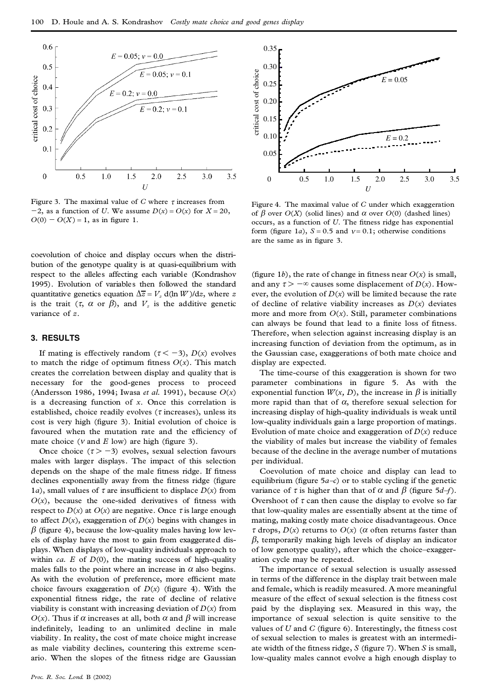

Figure 3. The maximal value of  $C$  where  $\tau$  increases from  $-2$ , as a function of *U*. We assume  $D(x) = O(x)$  for  $X = 20$ ,  $O(0) - O(X) = 1$ , as in figure 1.

coevolution of choice and display occurs when the distri bution of the genotype quality is at quasi-equilibrium with respect to the alleles affecting each variable (Kondrashov 1995). Evolution of variables then followed the standard quantitative genetics equation  $\Delta \overline{z} = V_z d(\ln W)/dz$ , where *z* is the trait  $(\tau, \alpha \text{ or } \beta)$ , and  $V_z$  is the additive genetic variance of *z*.

#### **3. RESULTS**

If mating is effectively random ( $\tau < -3$ ),  $D(x)$  evolves to match the ridge of optimum fitness  $O(x)$ . This match creates the correlation between display and quality that is necessary for the good-genes process to proceed (Andersson 1986, 1994; Iwasa *et al.* 1991), because *O*(*x*) is a decreasing function of *x*. Once this correlation is established, choice readily evolves ( $\tau$  increases), unless its cost is very high (figure 3). Initial evolution of choice is favoured when the mutation rate and the efficiency of mate choice ( $\nu$  and  $E$  low) are high (figure 3).

Once choice  $(7 > -3)$  evolves, sexual selection favours males with larger displays. The impact of this selection depends on the shape of the male fitness ridge. If fitness declines exponentially away from the fitness ridge (figure 1*a*), small values of  $\tau$  are insufficient to displace  $D(x)$  from  $O(x)$ , because the one-sided derivatives of fitness with respect to  $D(x)$  at  $O(x)$  are negative. Once  $\tau$  is large enough to affect  $D(x)$ , exaggeration of  $D(x)$  begins with changes in  $\beta$  (figure 4), because the low-quality males having low levels of display have the most to gain from exaggerated dis plays. When displays of low-quality individuals approach to within *ca.*  $E$  of  $D(0)$ , the mating success of high-quality males falls to the point where an increase in  $\alpha$  also begins. As with the evolution of preference, more efficient mate choice favours exaggeration of  $D(x)$  (figure 4). With the exponential fitness ridge, the rate of decline of relative viability is constant with increasing deviation of  $D(x)$  from  $O(x)$ . Thus if  $\alpha$  increases at all, both  $\alpha$  and  $\beta$  will increase indefinitely, leading to an unlimited decline in male viability. In reality, the cost of mate choice might increase as male viability declines, countering this extreme scen ario. When the slopes of the fitness ridge are Gaussian



Figure 4. The maximal value of *C* under which exaggeration of  $\beta$  over  $O(X)$  (solid lines) and  $\alpha$  over  $O(0)$  (dashed lines) occurs, as a function of *U*. The fitness ridge has exponential form (figure 1*a*),  $S = 0.5$  and  $v = 0.1$ ; otherwise conditions are the same as in figure 3.

(figure 1*b*), the rate of change in fitness near  $O(x)$  is small, and any  $\tau$  >  $-\infty$  causes some displacement of *D*(*x*). However, the evolution of  $D(x)$  will be limited because the rate of decline of relative viability increases as *D*(*x*) deviates more and more from  $O(x)$ . Still, parameter combinations can always be found that lead to a finite loss of fitness. Therefore, when selection against increasing display is an increasing function of deviation from the optimum, as in the Gaussian case, exaggerations of both mate choice and display are expected.

The time-course of this exaggeration is shown for two parameter combinations in figure 5. As with the exponential function  $W(x, D)$ , the increase in  $\beta$  is initially more rapid than that of  $\alpha$ , therefore sexual selection for increasing display of high-quality individuals is weak until low-quality individuals gain a large proportion of matings. Evolution of mate choice and exaggeration of  $D(x)$  reduce the viability of males but increase the viability of females because of the decline in the average number of mutations per individual.

Coevolution of mate choice and display can lead to equilibrium (figure  $5a-c$ ) or to stable cycling if the genetic variance of  $\tau$  is higher than that of  $\alpha$  and  $\beta$  (figure 5*d-f*). Overshoot of  $\tau$  can then cause the display to evolve so far that low-quality males are essentially absent at the time of mating, making costly mate choice disadvantageous. Once  $\tau$  drops,  $D(x)$  returns to  $O(x)$  ( $\alpha$  often returns faster than *b*, temporarily making high levels of display an indicator of low genotype quality), after which the choice-exaggeration cycle may be repeated.

The importance of sexual selection is usually assessed in terms of the difference in the display trait between male and female, which is readily measured. A more meaningful measure of the effect of sexual selection is the fitness cost paid by the displaying sex. Measured in this way, the importance of sexual selection is quite sensitive to the values of  $U$  and  $C$  (figure 6). Interestingly, the fitness cost of sexual selection to males is greatest with an intermedi ate width of the fitness ridge,  $S$  (figure 7). When  $S$  is small, low-quality males cannot evolve a high enough display to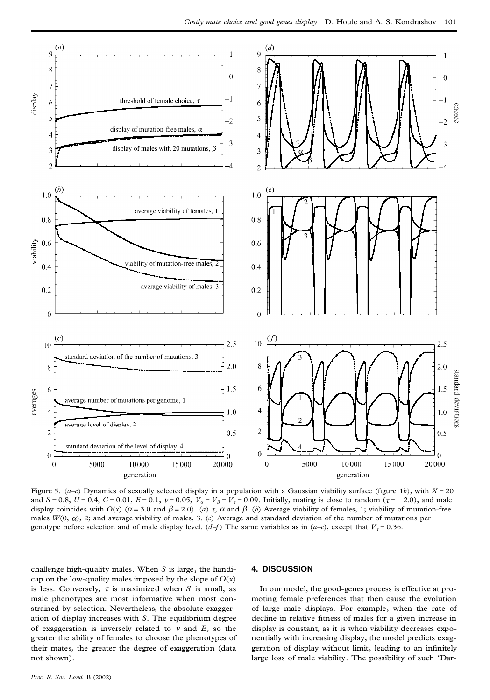

Figure 5.  $(a-c)$  Dynamics of sexually selected display in a population with a Gaussian viability surface (figure 1*b*), with  $X = 20$ and  $S = 0.8$ ,  $U = 0.4$ ,  $C = 0.01$ ,  $E = 0.1$ ,  $v = 0.05$ ,  $V_a = V_f = 0.09$ . Initially, mating is close to random ( $\tau = -2.0$ ), and male display coincides with  $O(x)$  ( $\alpha = 3.0$  and  $\beta = 2.0$ ). (*a*)  $\tau$ ,  $\alpha$  and  $\beta$ . (*b*) Average viability of females, 1; viability of mutation-free males *W*(0, *a*), 2; and average viability of males, 3. (*c*) Average and standard deviation of the number of mutations per genotype before selection and of male display level.  $(d-f)$  The same variables as in  $(a-c)$ , except that  $V<sub>r</sub> = 0.36$ .

challenge high-quality males. When *S* is large, the handi cap on the low-quality males imposed by the slope of  $O(x)$ is less. Conversely,  $\tau$  is maximized when *S* is small, as male phenotypes are most informative when most con strained by selection. Nevertheless, the absolute exagger ation of display increases with *S*. The equilibrium degree of exaggeration is inversely related to  $v$  and  $E$ , so the greater the ability of females to choose the phenotypes of their mates, the greater the degree of exaggeration (data not shown).

#### **4. DISCUSSION**

In our model, the good-genes process is effective at pro moting female preferences that then cause the evolution of large male displays. For example, when the rate of decline in relative fitness of males for a given increase in display is constant, as it is when viability decreases expo nentially with increasing display, the model predicts exag geration of display without limit, leading to an infinitely large loss of male viability. The possibility of such `Dar-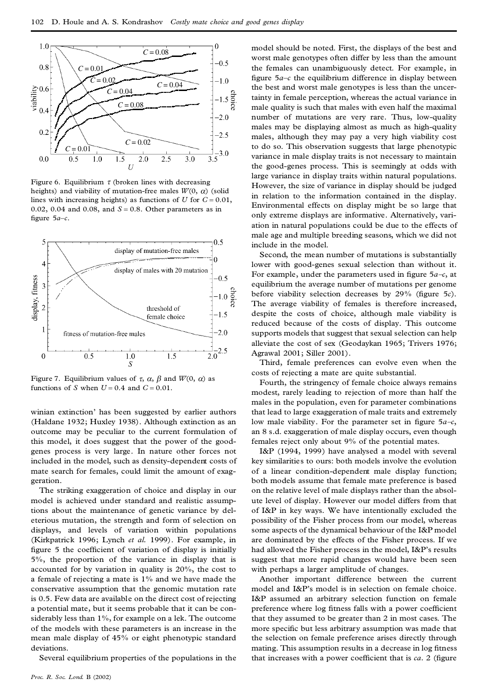

Figure 6. Equilibrium  $\tau$  (broken lines with decreasing heights) and viability of mutation-free males  $W(0, \alpha)$  (solid lines with increasing heights) as functions of *U* for *C* = 0.01, 0.02, 0.04 and 0.08, and  $S = 0.8$ . Other parameters as in figure  $5a-c$ .



Figure 7. Equilibrium values of  $\tau$ ,  $\alpha$ ,  $\beta$  and  $W(0, \alpha)$  as functions of *S* when  $U = 0.4$  and  $C = 0.01$ .

winian extinction' has been suggested by earlier authors (Haldane 1932; Huxley 1938). Although extinction as an outcome may be peculiar to the current formulation of this model, it does suggest that the power of the good genes process is very large. In nature other forces not included in the model, such as density-dependent costs of mate search for females, could limit the amount of exag geration.

The striking exaggeration of choice and display in our model is achieved under standard and realistic assumptions about the maintenance of genetic variance by del eterious mutation, the strength and form of selection on displays, and levels of variation within populations (Kirkpatrick 1996; Lynch *et al.* 1999). For example, in figure 5 the coefficient of variation of display is initially 5%, the proportion of the variance in display that is accounted for by variation in quality is 20%, the cost to a female of rejecting a mate is 1% and we have made the conservative assumption that the genomic mutation rate is 0.5. Few data are available on the direct cost of rejecting a potential mate, but it seems probable that it can be con siderably less than 1%, for example on a lek. The outcome of the models with these parameters is an increase in the mean male display of 45% or eight phenotypic standard deviations.

Several equilibrium properties of the populations in the

model should be noted. First, the displays of the best and worst male genotypes often differ by less than the amount the females can unambiguously detect. For example, in figure  $5a-c$  the equilibrium difference in display between the best and worst male genotypes is less than the uncertainty in female perception, whereas the actual variance in male quality is such that males with even half the maximal number of mutations are very rare. Thus, low-quality males may be displaying almost as much as high-quality males, although they may pay a very high viability cost to do so. This observation suggests that large phenotypic variance in male display traits is not necessary to maintain the good-genes process. This is seemingly at odds with large variance in display traits within natural populations. However, the size of variance in display should be judged in relation to the information contained in the display. Environmental effects on display might be so large that only extreme displays are informative. Alternatively, vari ation in natural populations could be due to the effects of male age and multiple breeding seasons, which we did not include in the model.

Second, the mean number of mutations is substantially lower with good-genes sexual selection than without it. For example, under the parameters used in figure  $5a-\epsilon$ , at equilibrium the average number of mutations per genome before viability selection decreases by 29% (figure 5*c*). The average viability of females is therefore increased, despite the costs of choice, although male viability is reduced because of the costs of display. This outcome supports models that suggest that sexual selection can help alleviate the cost of sex (Geodaykan 1965; Trivers 1976; Agrawal 2001; Siller 2001).

Third, female preferences can evolve even when the costs of rejecting a mate are quite substantial.

Fourth, the stringency of female choice always remains modest, rarely leading to rejection of more than half the males in the population, even for parameter combinations that lead to large exaggeration of male traits and extremely low male viability. For the parameter set in figure  $5a-c$ , an 8 s.d. exaggeration of male display occurs, even though females reject only about 9% of the potential mates.

I&P (1994, 1999) have analysed a model with several key similarities to ours: both models involve the evolution of a linear condition-dependent male display function; both models assume that female mate preference is based on the relative level of male displays rather than the absol ute level of display. However our model differs from that of I&P in key ways. We have intentionally excluded the possibility of the Fisher process from our model, whereas some aspects of the dynamical behaviour of the I&P model are dominated by the effects of the Fisher process. If we had allowed the Fisher process in the model, I&P's results suggest that more rapid changes would have been seen with perhaps a larger amplitude of changes.

Another important difference between the current model and I&P's model is in selection on female choice. I&P assumed an arbitrary selection function on female preference where log fitness falls with a power coefficient that they assumed to be greater than 2 in most cases. The more specific but less arbitrary assumption was made that the selection on female preference arises directly through mating. This assumption results in a decrease in log fitness that increases with a power coefficient that is *ca.* 2 (figure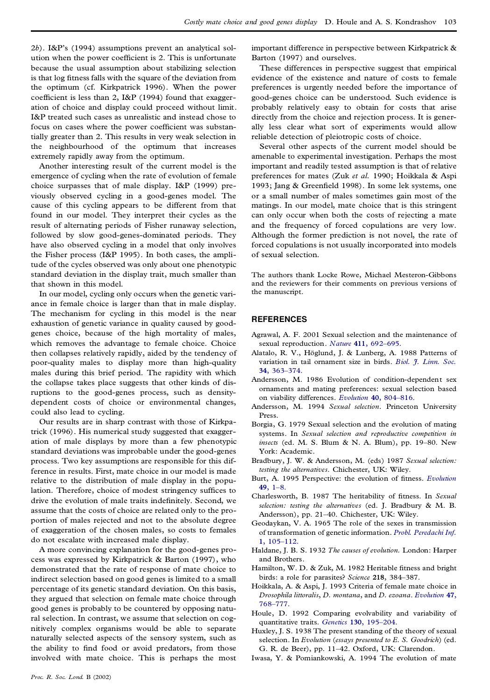2*b*). I&P's (1994) assumptions prevent an analytical sol ution when the power coefficient is 2. This is unfortunate because the usual assumption about stabilizing selection is that log fitness falls with the square of the deviation from the optimum (cf. Kirkpatrick 1996). When the power coefficient is less than 2, I&P (1994) found that exaggeration of choice and display could proceed without limit. I&P treated such cases as unrealistic and instead chose to focus on cases where the power coefficient was substantially greater than 2. This results in very weak selection in the neighbourhood of the optimum that increases extremely rapidly away from the optimum.

Another interesting result of the current model is the emergence of cycling when the rate of evolution of female choice surpasses that of male display. I&P (1999) pre viously observed cycling in a good-genes model. The cause of this cycling appears to be different from that found in our model. They interpret their cycles as the result of alternating periods of Fisher runaway selection, followed by slow good-genes-dominated periods. They have also observed cycling in a model that only involves the Fisher process (I&P 1995). In both cases, the amplitude of the cycles observed was only about one phenotypic standard deviation in the display trait, much smaller than that shown in this model.

In our model, cycling only occurs when the genetic vari ance in female choice is larger than that in male display. The mechanism for cycling in this model is the near exhaustion of genetic variance in quality caused by good genes choice, because of the high mortality of males, which removes the advantage to female choice. Choice then collapses relatively rapidly, aided by the tendency of poor-quality males to display more than high-quality males during this brief period. The rapidity with which the collapse takes place suggests that other kinds of disruptions to the good-genes process, such as density dependent costs of choice or environmental changes, could also lead to cycling.

Our results are in sharp contrast with those of Kirkpatrick (1996). His numerical study suggested that exagger ation of male displays by more than a few phenotypic standard deviations was improbable under the good-genes process. Two key assumptions are responsible for this difference in results. First, mate choice in our model is made relative to the distribution of male display in the population. Therefore, choice of modest stringency suffices to drive the evolution of male traits indefinitely. Second, we assume that the costs of choice are related only to the pro portion of males rejected and not to the absolute degree of exaggeration of the chosen males, so costs to females do not escalate with increased male display.

A more convincing explanation for the good-genes pro cess was expressed by Kirkpatrick & Barton (1997), who demonstrated that the rate of response of mate choice to indirect selection based on good genes is limited to a small percentage of its genetic standard deviation. On this basis, they argued that selection on female mate choice through good genes is probably to be countered by opposing natural selection. In contrast, we assume that selection on cog nitively complex organisms would be able to separate naturally selected aspects of the sensory system, such as the ability to find food or avoid predators, from those involved with mate choice. This is perhaps the most important difference in perspective between Kirkpatrick & Barton (1997) and ourselves.

These differences in perspective suggest that empirical evidence of the existence and nature of costs to female preferences is urgently needed before the importance of good-genes choice can be understood. Such evidence is probably relatively easy to obtain for costs that arise directly from the choice and rejection process. It is gener ally less clear what sort of experiments would allow reliable detection of pleiotropic costs of choice.

Several other aspects of the current model should be amenable to experimental investigation. Perhaps the most important and readily tested assumption is that of relative preferences for mates (Zuk *et al.* 1990; Hoikkala & Aspi 1993; Jang & Greenfield 1998). In some lek systems, one or a small number of males sometimes gain most of the matings. In our model, mate choice that is this stringent can only occur when both the costs of rejecting a mate and the frequency of forced copulations are very low. Although the former prediction is not novel, the rate of forced copulations is not usually incorporated into models of sexual selection.

The authors thank Locke Rowe, Michael Mesteron-Gibbons and the reviewers for their comments on previous versions of the manuscript.

#### **REFERENCES**

- Agrawal, A. F. 2001 Sexual selection and the maintenance of sexual reproduction. Nature 411, 692-695.
- Alatalo, R. V., Höglund, J. & Lunberg, A. 1988 Patterns of variation in tail ornament size in birds. *Biol. J. [Linn.](http://ernesto.catchword.com/nw=1/rpsv/0024-4066^28^2934L.363[aid=1878068]) Soc.* **34**, [363±374.](http://ernesto.catchword.com/nw=1/rpsv/0024-4066^28^2934L.363[aid=1878068])
- Andersson, M. 1986 Evolution of condition-dependent sex ornaments and mating preferences: sexual selection based on viability differences. *Evolution* 40, 804-816.
- Andersson, M. 1994 *Sexual selection*. Princeton University Press.
- Borgia, G. 1979 Sexual selection and the evolution of mating systems. In *Sexual selection and reproductive competition in insects* (ed. M. S. Blum & N. A. Blum), pp. 19-80. New York: Academic.
- Bradbury, J. W. & Andersson, M. (eds) 1987 *Sexual selection: testing the alternatives*. Chichester, UK: Wiley.
- Burt, A. 1995 Perspective: the evolution of fitness. *[Evolution](http://ernesto.catchword.com/nw=1/rpsv/0014-3820^28^2949L.1[aid=29821])* **49**, 1–8.
- Charlesworth, B. 1987 The heritability of fitness. In *Sexual selection: testing the alternatives* (ed. J. Bradbury & M. B. Andersson), pp. 21-40. Chichester, UK: Wiley.
- Geodaykan, V. A. 1965 The role of the sexes in transmission of transformation of genetic information. *Probl. [Peredachi](http://ernesto.catchword.com/nw=1/rpsv/0032-9460^28^291L.105[aid=1878069]) Inf.* **1**, [105±112.](http://ernesto.catchword.com/nw=1/rpsv/0032-9460^28^291L.105[aid=1878069])
- Haldane, J. B. S. 1932 *The causes of evolution.* London: Harper and Brothers.
- Hamilton, W. D. & Zuk, M. 1982 Heritable fitness and bright birds: a role for parasites? *Science* 218, 384-387.
- Hoikkala, A. & Aspi, J. 1993 Criteria of female mate choice in *Drosophila littoralis*, *D. montana*, and *D. ezoana*. *[Evolution](http://ernesto.catchword.com/nw=1/rpsv/0014-3820^28^2947L.768[aid=1303832])* **47**, [768±777.](http://ernesto.catchword.com/nw=1/rpsv/0014-3820^28^2947L.768[aid=1303832])
- Houle, D. 1992 Comparing evolvability and variability of quantitative traits. *Genetics* 130, 195-204.
- Huxley, J. S. 1938 The present standing of the theory of sexual selection. In *Evolution* (*essays presented to E. S. Goodrich*) (ed. G. R. de Beer), pp. 11-42. Oxford, UK: Clarendon.
- Iwasa, Y. & Pomiankowski, A. 1994 The evolution of mate